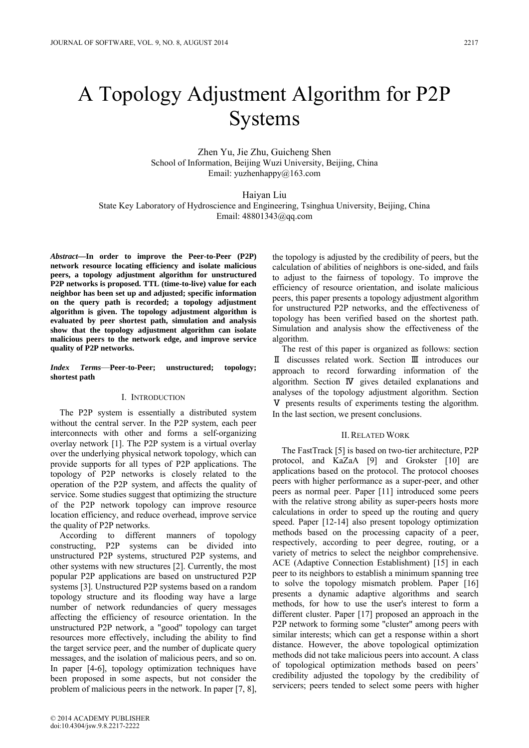# A Topology Adjustment Algorithm for P2P Systems

Zhen Yu, Jie Zhu, Guicheng Shen School of Information, Beijing Wuzi University, Beijing, China Email: yuzhenhappy@163.com

Haiyan Liu State Key Laboratory of Hydroscience and Engineering, Tsinghua University, Beijing, China Email: 48801343@qq.com

*Abstract—***In order to improve the Peer-to-Peer (P2P) network resource locating efficiency and isolate malicious peers, a topology adjustment algorithm for unstructured P2P networks is proposed. TTL (time-to-live) value for each neighbor has been set up and adjusted; specific information on the query path is recorded; a topology adjustment algorithm is given. The topology adjustment algorithm is evaluated by peer shortest path, simulation and analysis show that the topology adjustment algorithm can isolate malicious peers to the network edge, and improve service quality of P2P networks.** 

*Index Terms*—**Peer-to-Peer; unstructured; topology; shortest path** 

# I. INTRODUCTION

The P2P system is essentially a distributed system without the central server. In the P2P system, each peer interconnects with other and forms a self-organizing overlay network [1]. The P2P system is a virtual overlay over the underlying physical network topology, which can provide supports for all types of P2P applications. The topology of P2P networks is closely related to the operation of the P2P system, and affects the quality of service. Some studies suggest that optimizing the structure of the P2P network topology can improve resource location efficiency, and reduce overhead, improve service the quality of P2P networks.

According to different manners of topology constructing, P2P systems can be divided into unstructured P2P systems, structured P2P systems, and other systems with new structures [2]. Currently, the most popular P2P applications are based on unstructured P2P systems [3]. Unstructured P2P systems based on a random topology structure and its flooding way have a large number of network redundancies of query messages affecting the efficiency of resource orientation. In the unstructured P2P network, a "good" topology can target resources more effectively, including the ability to find the target service peer, and the number of duplicate query messages, and the isolation of malicious peers, and so on. In paper [4-6], topology optimization techniques have been proposed in some aspects, but not consider the problem of malicious peers in the network. In paper [7, 8],

the topology is adjusted by the credibility of peers, but the calculation of abilities of neighbors is one-sided, and fails to adjust to the fairness of topology. To improve the efficiency of resource orientation, and isolate malicious peers, this paper presents a topology adjustment algorithm for unstructured P2P networks, and the effectiveness of topology has been verified based on the shortest path. Simulation and analysis show the effectiveness of the algorithm.

The rest of this paper is organized as follows: section Ⅱ discusses related work. Section Ⅲ introduces our approach to record forwarding information of the algorithm. Section Ⅳ gives detailed explanations and analyses of the topology adjustment algorithm. Section Ⅴ presents results of experiments testing the algorithm. In the last section, we present conclusions.

# II.RELATED WORK

The FastTrack [5] is based on two-tier architecture, P2P protocol, and KaZaA [9] and Grokster [10] are applications based on the protocol. The protocol chooses peers with higher performance as a super-peer, and other peers as normal peer. Paper [11] introduced some peers with the relative strong ability as super-peers hosts more calculations in order to speed up the routing and query speed. Paper [12-14] also present topology optimization methods based on the processing capacity of a peer, respectively, according to peer degree, routing, or a variety of metrics to select the neighbor comprehensive. ACE (Adaptive Connection Establishment) [15] in each peer to its neighbors to establish a minimum spanning tree to solve the topology mismatch problem. Paper [16] presents a dynamic adaptive algorithms and search methods, for how to use the user's interest to form a different cluster. Paper [17] proposed an approach in the P2P network to forming some "cluster" among peers with similar interests; which can get a response within a short distance. However, the above topological optimization methods did not take malicious peers into account. A class of topological optimization methods based on peers' credibility adjusted the topology by the credibility of servicers; peers tended to select some peers with higher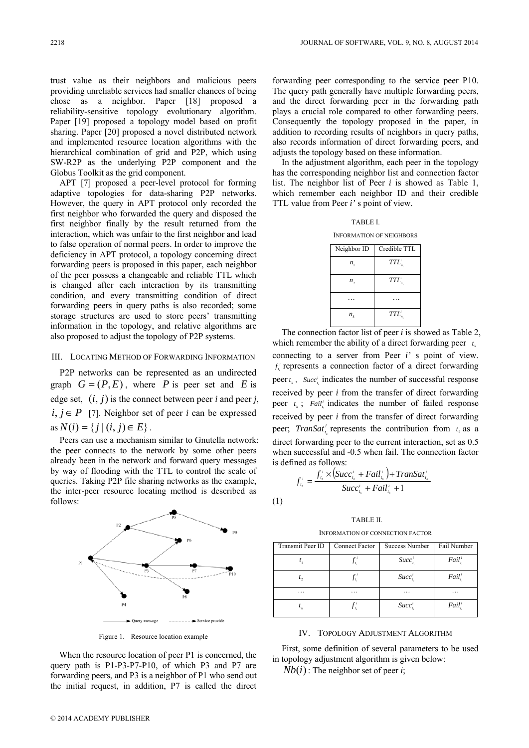trust value as their neighbors and malicious peers providing unreliable services had smaller chances of being chose as a neighbor. Paper [18] proposed a reliability-sensitive topology evolutionary algorithm. Paper [19] proposed a topology model based on profit sharing. Paper [20] proposed a novel distributed network and implemented resource location algorithms with the hierarchical combination of grid and P2P, which using SW-R2P as the underlying P2P component and the Globus Toolkit as the grid component.

APT [7] proposed a peer-level protocol for forming adaptive topologies for data-sharing P2P networks. However, the query in APT protocol only recorded the first neighbor who forwarded the query and disposed the first neighbor finally by the result returned from the interaction, which was unfair to the first neighbor and lead to false operation of normal peers. In order to improve the deficiency in APT protocol, a topology concerning direct forwarding peers is proposed in this paper, each neighbor of the peer possess a changeable and reliable TTL which is changed after each interaction by its transmitting condition, and every transmitting condition of direct forwarding peers in query paths is also recorded; some storage structures are used to store peers' transmitting information in the topology, and relative algorithms are also proposed to adjust the topology of P2P systems.

# III. LOCATING METHOD OF FORWARDING INFORMATION

P2P networks can be represented as an undirected graph  $G = (P, E)$ , where *P* is peer set and *E* is edge set,  $(i, j)$  is the connect between peer *i* and peer *j*, *i*,  $j ∈ P$  [7]. Neighbor set of peer *i* can be expressed  $\text{as } N(i) = \{ j | (i, j) \in E \}.$ 

Peers can use a mechanism similar to Gnutella network: the peer connects to the network by some other peers already been in the network and forward query messages by way of flooding with the TTL to control the scale of queries. Taking P2P file sharing networks as the example, the inter-peer resource locating method is described as follows:



Figure 1. Resource location example

When the resource location of peer P1 is concerned, the query path is P1-P3-P7-P10, of which P3 and P7 are forwarding peers, and P3 is a neighbor of P1 who send out the initial request, in addition, P7 is called the direct

forwarding peer corresponding to the service peer P10. The query path generally have multiple forwarding peers, and the direct forwarding peer in the forwarding path plays a crucial role compared to other forwarding peers. Consequently the topology proposed in the paper, in addition to recording results of neighbors in query paths, also records information of direct forwarding peers, and adjusts the topology based on these information.

In the adjustment algorithm, each peer in the topology has the corresponding neighbor list and connection factor list. The neighbor list of Peer *i* is showed as Table 1, which remember each neighbor ID and their credible TTL value from Peer *i'* s point of view.

INFORMATION OF NEIGHBORS

| Neighbor ID | Credible TTL           |
|-------------|------------------------|
| п,          | $TTL_n^i$              |
| n,          | $\mathit{TTL}^i_{n_i}$ |
|             |                        |
| $n_{\iota}$ | $TTL_n^i$              |

The connection factor list of peer *i* is showed as Table 2, which remember the ability of a direct forwarding peer  $t_k$ connecting to a server from Peer *i'* s point of view.  $f_{t_i}$ <sup>*i*</sup> represents a connection factor of a direct forwarding peer  $t_k$ , *Succ*<sup>*i*</sup>, indicates the number of successful response received by peer *i* from the transfer of direct forwarding peer  $t_k$ ; *Fail*<sup>*i*</sup></sup> indicates the number of failed response received by peer *i* from the transfer of direct forwarding peer; *TranSat*<sup>*i*</sup><sub>*t<sub>k</sub>*</sub> represents the contribution from  $t_k$  as a direct forwarding peer to the current interaction, set as 0.5 when successful and -0.5 when fail. The connection factor is defined as follows:

$$
f_{t_k}^i = \frac{f_{t_k}^i \times (Succ_{t_k}^i + Fail_{t_k}^i) + TranSat_{t_k}^i}{Succ_{t_k}^i + Fail_{t_k}^i + 1}
$$
\n(1)

TABLE II. INFORMATION OF CONNECTION FACTOR

| Transmit Peer ID | Connect Factor | Success Number                 | Fail Number                    |
|------------------|----------------|--------------------------------|--------------------------------|
|                  |                | Succ <sub>t</sub> <sup>i</sup> | Fail <sub>i</sub>              |
|                  |                | $Succ'_{i}$                    | Fall <sub>i</sub> <sup>i</sup> |
| .                | .              | .                              | .                              |
|                  |                | $Succ^i$                       | Fail <sup>i</sup>              |

### IV. TOPOLOGY ADJUSTMENT ALGORITHM

First, some definition of several parameters to be used in topology adjustment algorithm is given below:

 $Nb(i)$ : The neighbor set of peer *i*;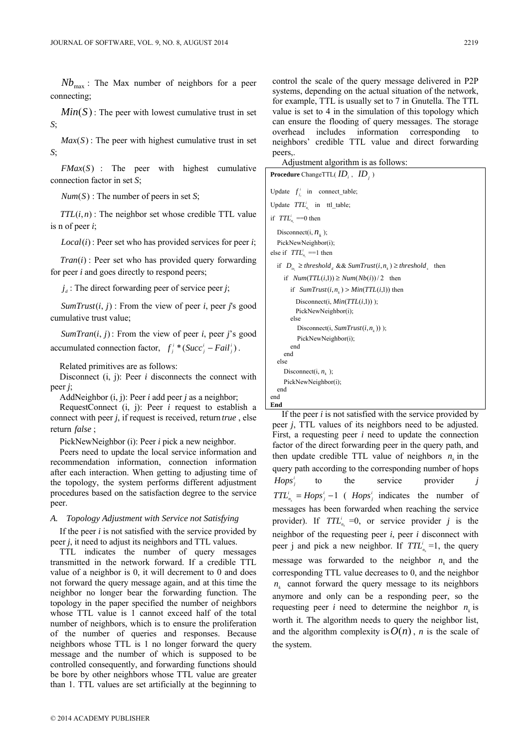$Nb<sub>max</sub>$ : The Max number of neighbors for a peer connecting;

 $Min(S)$ : The peer with lowest cumulative trust in set *S*;

 $Max(S)$ : The peer with highest cumulative trust in set *S*;

*FMax*(*S*) : The peer with highest cumulative connection factor in set *S*;

*Num*(*S*) : The number of peers in set *S*;

 $TTL(i, n)$ : The neighbor set whose credible TTL value is n of peer *i*;

*Local*(*i*): Peer set who has provided services for peer *i*;

*Tran*(*i*) : Peer set who has provided query forwarding for peer *i* and goes directly to respond peers;

 $\dot{d}$  : The direct forwarding peer of service peer *j*;

*SumTrust* $(i, j)$ : From the view of peer *i*, peer *j*'s good cumulative trust value;

*SumTran* $(i, j)$ : From the view of peer *i*, peer *j*'s good accumulated connection factor,  $f_i^i$  \* ( $Succ_i^i$  –  $Fail_i^i$ ).

Related primitives are as follows:

Disconnect  $(i, j)$ : Peer  $i$  disconnects the connect with peer *j*;

AddNeighbor (i, j): Peer *i* add peer *j* as a neighbor;

RequestConnect (i, j): Peer *i* request to establish a connect with peer *j*, if request is received, return *true* , else return *false* ;

PickNewNeighbor (i): Peer *i* pick a new neighbor.

Peers need to update the local service information and recommendation information, connection information after each interaction. When getting to adjusting time of the topology, the system performs different adjustment procedures based on the satisfaction degree to the service peer.

# *A. Topology Adjustment with Service not Satisfying*

If the peer *i* is not satisfied with the service provided by peer *j*, it need to adjust its neighbors and TTL values.

TTL indicates the number of query messages transmitted in the network forward. If a credible TTL value of a neighbor is 0, it will decrement to 0 and does not forward the query message again, and at this time the neighbor no longer bear the forwarding function. The topology in the paper specified the number of neighbors whose TTL value is 1 cannot exceed half of the total number of neighbors, which is to ensure the proliferation of the number of queries and responses. Because neighbors whose TTL is 1 no longer forward the query message and the number of which is supposed to be controlled consequently, and forwarding functions should be bore by other neighbors whose TTL value are greater than 1. TTL values are set artificially at the beginning to

control the scale of the query message delivered in P2P systems, depending on the actual situation of the network, for example, TTL is usually set to 7 in Gnutella. The TTL value is set to 4 in the simulation of this topology which can ensure the flooding of query messages. The storage overhead includes information corresponding to neighbors' credible TTL value and direct forwarding peers,.

|  | Adjustment algorithm is as follows: |  |
|--|-------------------------------------|--|
|  |                                     |  |
|  |                                     |  |
|  |                                     |  |

| <b>Procedure</b> ChangeTTL( $ID_i$ , $ID_j$ )                                       |
|-------------------------------------------------------------------------------------|
| Update $f_i^i$ in connect_table;                                                    |
| Update $TTLni$ in ttl_table;                                                        |
| if $TTL_n^i == 0$ then                                                              |
| Disconnect(i, $n_k$ );<br>PickNewNeighbor(i);<br>else if $TTL_n^i == 1$ then        |
| if $D_{in} \geq threshold_{d}$ & $\&$ SumTrust $(i, n_{k}) \geq threshold_{s}$ then |
| if $Num(TTL(i,1)) \geq Num(Nb(i))/2$ then                                           |
| if $SumTrust(i, n_{\nu}) > Min(TTL(i,1))$ then                                      |
| Disconnect(i, $Min(TTL(i,1))$ );<br>PickNewNeighbor(i);<br>else                     |
| Disconnect(i, $SumTrust(i, n_{k}))$ );                                              |
| PickNewNeighbor(i);<br>end<br>end<br>else                                           |
| Disconnect(i, $n_k$ );                                                              |
| PickNewNeighbor(i);<br>end                                                          |
| end<br>End                                                                          |

If the peer *i* is not satisfied with the service provided by peer *j*, TTL values of its neighbors need to be adjusted. First, a requesting peer *i* need to update the connection factor of the direct forwarding peer in the query path, and then update credible TTL value of neighbors  $n_k$  in the query path according to the corresponding number of hops  $Hops<sub>i</sub>$  to the service provider *j*  $TTL_{n_k}^i = Hops_j^i - 1$  (*Hops<sub>i</sub>* indicates the number of messages has been forwarded when reaching the service provider). If  $TTL_{n_k}^i = 0$ , or service provider *j* is the neighbor of the requesting peer *i*, peer *i* disconnect with peer j and pick a new neighbor. If  $TTL_{n_k}^i = 1$ , the query message was forwarded to the neighbor  $n_k$  and the corresponding TTL value decreases to 0, and the neighbor  $n_k$  cannot forward the query message to its neighbors anymore and only can be a responding peer, so the requesting peer *i* need to determine the neighbor  $n_k$  is worth it. The algorithm needs to query the neighbor list, and the algorithm complexity is  $O(n)$ , *n* is the scale of the system.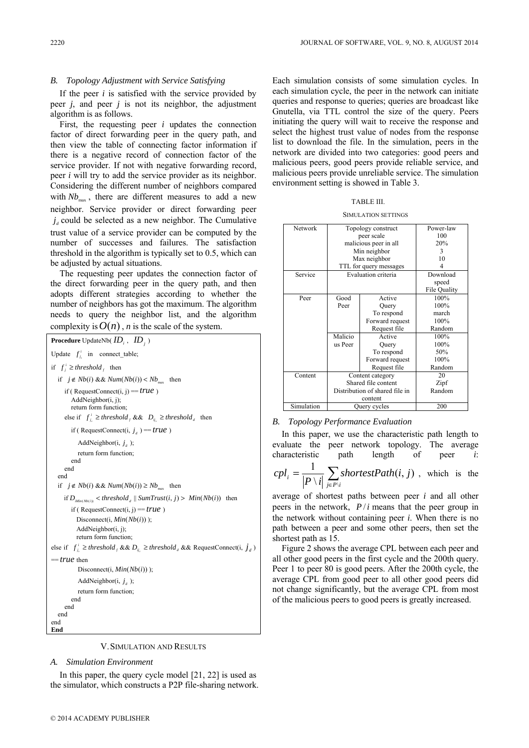#### *B. Topology Adjustment with Service Satisfying*

If the peer *i* is satisfied with the service provided by peer *j*, and peer *j* is not its neighbor, the adjustment algorithm is as follows.

First, the requesting peer *i* updates the connection factor of direct forwarding peer in the query path, and then view the table of connecting factor information if there is a negative record of connection factor of the service provider. If not with negative forwarding record, peer *i* will try to add the service provider as its neighbor. Considering the different number of neighbors compared with  $Nb_{\text{max}}$ , there are different measures to add a new neighbor. Service provider or direct forwarding peer  $j_d$  could be selected as a new neighbor. The Cumulative trust value of a service provider can be computed by the number of successes and failures. The satisfaction threshold in the algorithm is typically set to 0.5, which can be adjusted by actual situations.

The requesting peer updates the connection factor of the direct forwarding peer in the query path, and then adopts different strategies according to whether the number of neighbors has got the maximum. The algorithm needs to query the neighbor list, and the algorithm complexity is  $O(n)$ , *n* is the scale of the system.

| <b>Procedure</b> UpdateNb( $ID_i$ , $ID_j$ )                                                                                                             |
|----------------------------------------------------------------------------------------------------------------------------------------------------------|
| Update $f_i^i$ in connect_table;                                                                                                                         |
| if $f_i^i \geq threshold_f$ then                                                                                                                         |
| if $j \notin Nb(i)$ & & $Num(Nb(i)) < Nb_{\text{max}}$ then                                                                                              |
| if (RequestConnect(i, j) == $true$ )<br>AddNeighbour(i, i);<br>return form function;<br>else if $f_i^i \geq$ threshold, && $D_{ii} \geq$ threshold, then |
| if (RequestConnect(i, $j_d$ ) = true)                                                                                                                    |
| AddNeighbor(i, $j_d$ );                                                                                                                                  |
| return form function;<br>end<br>end                                                                                                                      |
| end                                                                                                                                                      |
| if $j \notin Nb(i)$ & & $Num(Nb(i)) \geq Nb_{\text{max}}$ then                                                                                           |
| if $D_{iMin(Nb(i))}$ < threshold <sub>a</sub>    SumTrust(i, j) > Min(Nb(i)) then                                                                        |
| if (RequestConnect(i, j) == $true$ )                                                                                                                     |
| Disconnect(i, $Min(Nb(i))$ );                                                                                                                            |
| AddNeighbour(i, i);                                                                                                                                      |
| return form function;                                                                                                                                    |
| else if $f_i^i \geq$ threshold, && $D_{ij} \geq$ threshold, && RequestConnect(i, $j_d$ )                                                                 |
| $= true$ then                                                                                                                                            |
| Disconnect(i, $Min(Nb(i))$ );                                                                                                                            |
| AddNeighbor(i, $j_a$ );                                                                                                                                  |
| return form function;                                                                                                                                    |
| end                                                                                                                                                      |
| end<br>end                                                                                                                                               |
| end                                                                                                                                                      |
| End                                                                                                                                                      |

## V.SIMULATION AND RESULTS

#### *A. Simulation Environment*

In this paper, the query cycle model [21, 22] is used as the simulator, which constructs a P2P file-sharing network. Each simulation consists of some simulation cycles. In each simulation cycle, the peer in the network can initiate queries and response to queries; queries are broadcast like Gnutella, via TTL control the size of the query. Peers initiating the query will wait to receive the response and select the highest trust value of nodes from the response list to download the file. In the simulation, peers in the network are divided into two categories: good peers and malicious peers, good peers provide reliable service, and malicious peers provide unreliable service. The simulation environment setting is showed in Table 3.

| TABLE III. |  |  |
|------------|--|--|
|            |  |  |

#### SIMULATION SETTINGS

| Network    | Topology construct             |                       | Power-law    |  |
|------------|--------------------------------|-----------------------|--------------|--|
|            | peer scale                     |                       | 100          |  |
|            |                                | malicious peer in all | 20%          |  |
|            |                                | Min neighbor          | $\mathbf{3}$ |  |
|            |                                | Max neighbor          | 10           |  |
|            | TTL for query messages         |                       | Δ            |  |
| Service    | Evaluation criteria            |                       | Download     |  |
|            |                                |                       | speed        |  |
|            |                                |                       | File Quality |  |
| Peer       | Good                           | Active                | 100%         |  |
|            | Peer                           | Query                 | 100%         |  |
|            |                                | To respond            | march        |  |
|            | Forward request                |                       | 100%         |  |
|            | Request file                   |                       | Random       |  |
|            | Malicio<br>Active              |                       | 100%         |  |
|            | us Peer<br>Query               |                       | 100%         |  |
|            | To respond                     |                       | 50%          |  |
|            | Forward request                |                       | 100%         |  |
|            |                                | Request file          | Random       |  |
| Content    | Content category               |                       | 20           |  |
|            | Shared file content            |                       | Zipf         |  |
|            | Distribution of shared file in |                       | Random       |  |
|            | content                        |                       |              |  |
| Simulation | Query cycles                   |                       | 200          |  |

# *B. Topology Performance Evaluation*

In this paper, we use the characteristic path length to evaluate the peer network topology. The average characteristic path length of peer *i*:

$$
cpl_i = \frac{1}{|P \setminus i|} \sum_{j \in P \setminus i} shortestPath(i, j)
$$
, which is the

average of shortest paths between peer *i* and all other peers in the network,  $P/i$  means that the peer group in the network without containing peer *i*. When there is no path between a peer and some other peers, then set the shortest path as 15.

Figure 2 shows the average CPL between each peer and all other good peers in the first cycle and the 200th query. Peer 1 to peer 80 is good peers. After the 200th cycle, the average CPL from good peer to all other good peers did not change significantly, but the average CPL from most of the malicious peers to good peers is greatly increased.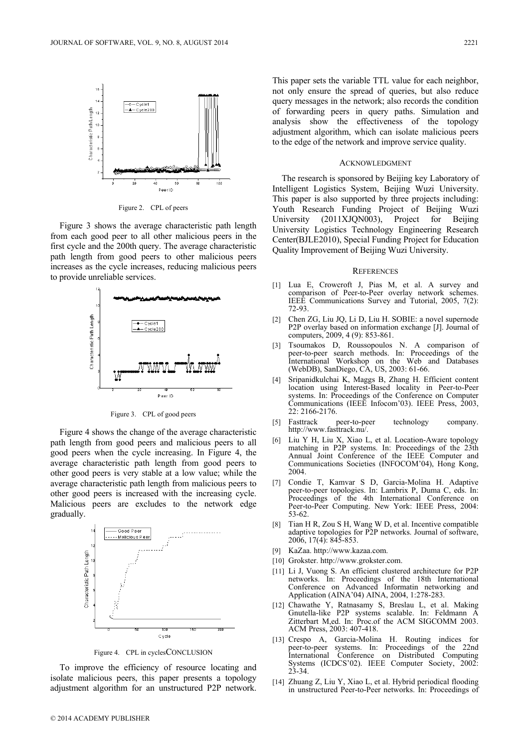

Figure 2. CPL of peers

Figure 3 shows the average characteristic path length from each good peer to all other malicious peers in the first cycle and the 200th query. The average characteristic path length from good peers to other malicious peers increases as the cycle increases, reducing malicious peers to provide unreliable services.



Figure 3. CPL of good peers

Figure 4 shows the change of the average characteristic path length from good peers and malicious peers to all good peers when the cycle increasing. In Figure 4, the average characteristic path length from good peers to other good peers is very stable at a low value; while the average characteristic path length from malicious peers to other good peers is increased with the increasing cycle. Malicious peers are excludes to the network edge gradually.



Figure 4. CPL in cyclesCONCLUSION

To improve the efficiency of resource locating and isolate malicious peers, this paper presents a topology adjustment algorithm for an unstructured P2P network.

This paper sets the variable TTL value for each neighbor, not only ensure the spread of queries, but also reduce query messages in the network; also records the condition of forwarding peers in query paths. Simulation and analysis show the effectiveness of the topology adjustment algorithm, which can isolate malicious peers to the edge of the network and improve service quality.

### ACKNOWLEDGMENT

The research is sponsored by Beijing key Laboratory of Intelligent Logistics System, Beijing Wuzi University. This paper is also supported by three projects including: Youth Research Funding Project of Beijing Wuzi University (2011XJQN003), Project for Beijing University Logistics Technology Engineering Research Center(BJLE2010), Special Funding Project for Education Quality Improvement of Beijing Wuzi University.

#### **REFERENCES**

- [1] Lua E, Crowcroft J, Pias M, et al. A survey and comparison of Peer-to-Peer overlay network schemes. IEEE Communications Survey and Tutorial, 2005, 7(2): 72-93.
- [2] Chen ZG, Liu JQ, Li D, Liu H. SOBIE: a novel supernode P2P overlay based on information exchange [J]. Journal of computers, 2009, 4 (9): 853-861.
- [3] Tsoumakos D, Roussopoulos N. A comparison of peer-to-peer search methods. In: Proceedings of the International Workshop on the Web and Databases (WebDB), SanDiego, CA, US, 2003: 61-66.
- [4] Sripanidkulchai K, Maggs B, Zhang H. Efficient content location using Interest-Based locality in Peer-to-Peer systems. In: Proceedings of the Conference on Computer Communications (IEEE Infocom'03). IEEE Press, 2003, 22: 2166-2176.
- [5] Fasttrack peer-to-peer technology company. http://www.fasttrack.nu/.
- [6] Liu Y H, Liu X, Xiao L, et al. Location-Aware topology matching in P2P systems. In: Proceedings of the 23th Annual Joint Conference of the IEEE Computer and Communications Societies (INFOCOM'04), Hong Kong, 2004.
- [7] Condie T, Kamvar S D, Garcia-Molina H. Adaptive peer-to-peer topologies. In: Lambrix P, Duma C, eds. In: Proceedings of the 4th International Conference on Peer-to-Peer Computing. New York: IEEE Press, 2004: 53-62.
- [8] Tian H R, Zou S H, Wang W D, et al. Incentive compatible adaptive topologies for P2P networks. Journal of software, 2006, 17(4): 845-853.
- [9] KaZaa. http://www.kazaa.com.
- [10] Grokster. http://www.grokster.com.
- [11] Li J, Vuong S. An efficient clustered architecture for P2P networks. In: Proceedings of the 18th International Conference on Advanced Informatin networking and Application (AINA'04) AINA, 2004, 1:278-283.
- [12] Chawathe Y, Ratnasamy S, Breslau L, et al. Making Gnutella-like P2P systems scalable. In: Feldmann A Zitterbart M,ed. In: Proc.of the ACM SIGCOMM 2003. ACM Press, 2003: 407-418.
- [13] Crespo A, Garcia-Molina H. Routing indices for peer-to-peer systems. In: Proceedings of the 22nd International Conference on Distributed Computing Systems (ICDCS'02). IEEE Computer Society, 2002: 23-34.
- [14] Zhuang Z, Liu Y, Xiao L, et al. Hybrid periodical flooding in unstructured Peer-to-Peer networks. In: Proceedings of